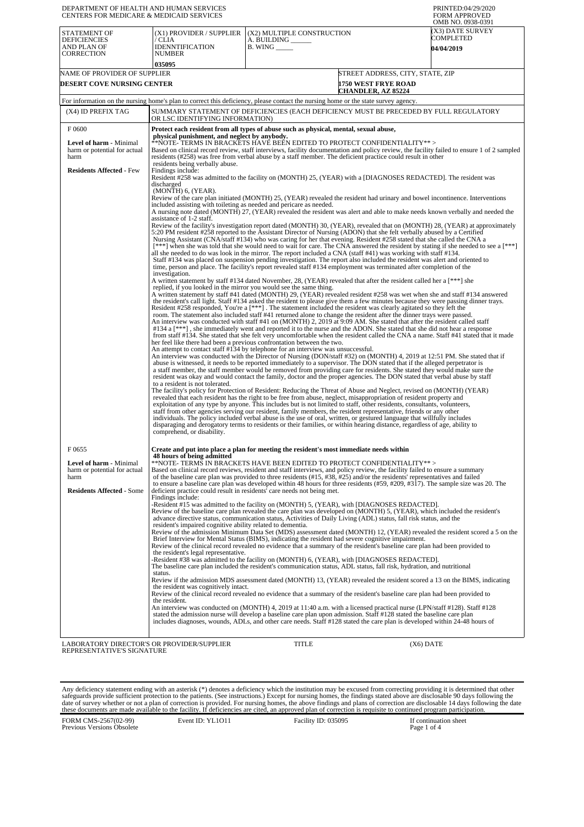| DEPARTMENT OF HEALTH AND HUMAN SERVICES<br><b>CENTERS FOR MEDICARE &amp; MEDICAID SERVICES</b>      |                                                                                                                                                                                                                                                                                                                                                                                                                                                                                                                                                                                                                                                                                                             |                                                                                                                                                                                                                                                                                                                                                                                                                                                                                                                                                                                                                                                                                                                                                                                                                                                                                                                                                                                                                                                                                                                                                                                                                                                                                                                                                                                                                                                                                                                                                                                                                                                                                                                                                                                                                                                                                                                                                                                                                                                                                                                                                                                                                                                                                                                                              | PRINTED:04/29/2020<br><b>FORM APPROVED</b><br>OMB NO. 0938-0391                                                                                                                                                                                                     |
|-----------------------------------------------------------------------------------------------------|-------------------------------------------------------------------------------------------------------------------------------------------------------------------------------------------------------------------------------------------------------------------------------------------------------------------------------------------------------------------------------------------------------------------------------------------------------------------------------------------------------------------------------------------------------------------------------------------------------------------------------------------------------------------------------------------------------------|----------------------------------------------------------------------------------------------------------------------------------------------------------------------------------------------------------------------------------------------------------------------------------------------------------------------------------------------------------------------------------------------------------------------------------------------------------------------------------------------------------------------------------------------------------------------------------------------------------------------------------------------------------------------------------------------------------------------------------------------------------------------------------------------------------------------------------------------------------------------------------------------------------------------------------------------------------------------------------------------------------------------------------------------------------------------------------------------------------------------------------------------------------------------------------------------------------------------------------------------------------------------------------------------------------------------------------------------------------------------------------------------------------------------------------------------------------------------------------------------------------------------------------------------------------------------------------------------------------------------------------------------------------------------------------------------------------------------------------------------------------------------------------------------------------------------------------------------------------------------------------------------------------------------------------------------------------------------------------------------------------------------------------------------------------------------------------------------------------------------------------------------------------------------------------------------------------------------------------------------------------------------------------------------------------------------------------------------|---------------------------------------------------------------------------------------------------------------------------------------------------------------------------------------------------------------------------------------------------------------------|
| STATEMENT OF<br><b>DEFICIENCIES</b><br>AND PLAN OF<br><b>CORRECTION</b>                             | (X1) PROVIDER / SUPPLIER<br>/ CLIA<br><b>IDENNTIFICATION</b><br><b>NUMBER</b><br>035095                                                                                                                                                                                                                                                                                                                                                                                                                                                                                                                                                                                                                     | (X2) MULTIPLE CONSTRUCTION<br>A. BUILDING<br>$B.$ WING $\_\_\_\_\_\_\$                                                                                                                                                                                                                                                                                                                                                                                                                                                                                                                                                                                                                                                                                                                                                                                                                                                                                                                                                                                                                                                                                                                                                                                                                                                                                                                                                                                                                                                                                                                                                                                                                                                                                                                                                                                                                                                                                                                                                                                                                                                                                                                                                                                                                                                                       | (X3) DATE SURVEY<br>COMPLETED<br>04/04/2019                                                                                                                                                                                                                         |
| NAME OF PROVIDER OF SUPPLIER                                                                        |                                                                                                                                                                                                                                                                                                                                                                                                                                                                                                                                                                                                                                                                                                             |                                                                                                                                                                                                                                                                                                                                                                                                                                                                                                                                                                                                                                                                                                                                                                                                                                                                                                                                                                                                                                                                                                                                                                                                                                                                                                                                                                                                                                                                                                                                                                                                                                                                                                                                                                                                                                                                                                                                                                                                                                                                                                                                                                                                                                                                                                                                              | STREET ADDRESS, CITY, STATE, ZIP                                                                                                                                                                                                                                    |
| DESERT COVE NURSING CENTER                                                                          |                                                                                                                                                                                                                                                                                                                                                                                                                                                                                                                                                                                                                                                                                                             | <b>1750 WEST FRYE ROAD</b><br><b>CHANDLER, AZ 85224</b>                                                                                                                                                                                                                                                                                                                                                                                                                                                                                                                                                                                                                                                                                                                                                                                                                                                                                                                                                                                                                                                                                                                                                                                                                                                                                                                                                                                                                                                                                                                                                                                                                                                                                                                                                                                                                                                                                                                                                                                                                                                                                                                                                                                                                                                                                      |                                                                                                                                                                                                                                                                     |
|                                                                                                     |                                                                                                                                                                                                                                                                                                                                                                                                                                                                                                                                                                                                                                                                                                             | For information on the nursing home's plan to correct this deficiency, please contact the nursing home or the state survey agency.                                                                                                                                                                                                                                                                                                                                                                                                                                                                                                                                                                                                                                                                                                                                                                                                                                                                                                                                                                                                                                                                                                                                                                                                                                                                                                                                                                                                                                                                                                                                                                                                                                                                                                                                                                                                                                                                                                                                                                                                                                                                                                                                                                                                           |                                                                                                                                                                                                                                                                     |
| (X4) ID PREFIX TAG                                                                                  | OR LSC IDENTIFYING INFORMATION)                                                                                                                                                                                                                                                                                                                                                                                                                                                                                                                                                                                                                                                                             | SUMMARY STATEMENT OF DEFICIENCIES (EACH DEFICIENCY MUST BE PRECEDED BY FULL REGULATORY                                                                                                                                                                                                                                                                                                                                                                                                                                                                                                                                                                                                                                                                                                                                                                                                                                                                                                                                                                                                                                                                                                                                                                                                                                                                                                                                                                                                                                                                                                                                                                                                                                                                                                                                                                                                                                                                                                                                                                                                                                                                                                                                                                                                                                                       |                                                                                                                                                                                                                                                                     |
| F0600                                                                                               |                                                                                                                                                                                                                                                                                                                                                                                                                                                                                                                                                                                                                                                                                                             | Protect each resident from all types of abuse such as physical, mental, sexual abuse,                                                                                                                                                                                                                                                                                                                                                                                                                                                                                                                                                                                                                                                                                                                                                                                                                                                                                                                                                                                                                                                                                                                                                                                                                                                                                                                                                                                                                                                                                                                                                                                                                                                                                                                                                                                                                                                                                                                                                                                                                                                                                                                                                                                                                                                        |                                                                                                                                                                                                                                                                     |
| Level of harm - Minimal<br>harm or potential for actual<br>harm<br><b>Residents Affected - Few</b>  | physical punishment, and neglect by anybody.<br>residents being verbally abuse.<br>Findings include:                                                                                                                                                                                                                                                                                                                                                                                                                                                                                                                                                                                                        | **NOTE- TERMS IN BRACKETS HAVE BEEN EDITED TO PROTECT CONFIDENTIALITY**><br>residents (#258) was free from verbal abuse by a staff member. The deficient practice could result in other                                                                                                                                                                                                                                                                                                                                                                                                                                                                                                                                                                                                                                                                                                                                                                                                                                                                                                                                                                                                                                                                                                                                                                                                                                                                                                                                                                                                                                                                                                                                                                                                                                                                                                                                                                                                                                                                                                                                                                                                                                                                                                                                                      | Based on clinical record review, staff interviews, facility documentation and policy review, the facility failed to ensure 1 of 2 sampled                                                                                                                           |
|                                                                                                     | discharged<br>(MONTH) 6, (YEAR).                                                                                                                                                                                                                                                                                                                                                                                                                                                                                                                                                                                                                                                                            | Resident #258 was admitted to the facility on (MONTH) 25, (YEAR) with a [DIAGNOSES REDACTED]. The resident was<br>Review of the care plan initiated (MONTH) 25, (YEAR) revealed the resident had urinary and bowel incontinence. Interventions                                                                                                                                                                                                                                                                                                                                                                                                                                                                                                                                                                                                                                                                                                                                                                                                                                                                                                                                                                                                                                                                                                                                                                                                                                                                                                                                                                                                                                                                                                                                                                                                                                                                                                                                                                                                                                                                                                                                                                                                                                                                                               |                                                                                                                                                                                                                                                                     |
|                                                                                                     | included assisting with toileting as needed and pericare as needed.<br>assistance of 1-2 staff.                                                                                                                                                                                                                                                                                                                                                                                                                                                                                                                                                                                                             |                                                                                                                                                                                                                                                                                                                                                                                                                                                                                                                                                                                                                                                                                                                                                                                                                                                                                                                                                                                                                                                                                                                                                                                                                                                                                                                                                                                                                                                                                                                                                                                                                                                                                                                                                                                                                                                                                                                                                                                                                                                                                                                                                                                                                                                                                                                                              | A nursing note dated (MONTH) 27, (YEAR) revealed the resident was alert and able to make needs known verbally and needed the                                                                                                                                        |
|                                                                                                     |                                                                                                                                                                                                                                                                                                                                                                                                                                                                                                                                                                                                                                                                                                             | 5:20 PM resident #258 reported to the Assistant Director of Nursing (ADON) that she felt verbally abused by a Certified<br>Nursing Assistant (CNA/staff #134) who was caring for her that evening. Resident #258 stated that she called the CNA a<br>all she needed to do was look in the mirror. The report included a CNA (staff #41) was working with staff #134.<br>Staff #134 was placed on suspension pending investigation. The report also included the resident was alert and oriented to<br>time, person and place. The facility's report revealed staff #134 employment was terminated after completion of the                                                                                                                                                                                                                                                                                                                                                                                                                                                                                                                                                                                                                                                                                                                                                                                                                                                                                                                                                                                                                                                                                                                                                                                                                                                                                                                                                                                                                                                                                                                                                                                                                                                                                                                    | Review of the facility's investigation report dated (MONTH) 30, (YEAR), revealed that on (MONTH) 28, (YEAR) at approximately<br>[***] when she was told that she would need to wait for care. The CNA answered the resident by stating if she needed to see a [***] |
|                                                                                                     | investigation.<br>replied, if you looked in the mirror you would see the same thing.<br>to a resident is not tolerated.<br>comprehend, or disability.                                                                                                                                                                                                                                                                                                                                                                                                                                                                                                                                                       | A written statement by staff #134 dated November, 28, (YEAR) revealed that after the resident called her a [***] she<br>A written statement by staff #41 dated (MONTH) 29, (YEAR) revealed resident #258 was wet when she and staff #134 answered<br>the resident's call light. Staff #134 asked the resident to please give them a few minutes because they were passing dinner trays.<br>Resident #258 responded, You're a [***]. The statement included the resident was clearly agitated so they left the<br>room. The statement also included staff #41 returned alone to change the resident after the dinner trays were passed.<br>An interview was conducted with staff #41 on (MONTH) 2, 2019 at 9:09 AM. She stated that after the resident called staff<br>#134 a [***], she immediately went and reported it to the nurse and the ADON. She stated that she did not hear a response<br>her feel like there had been a previous confrontation between the two.<br>An attempt to contact staff #134 by telephone for an interview was unsuccessful.<br>An interview was conducted with the Director of Nursing (DON/staff #32) on (MONTH) 4, 2019 at 12:51 PM. She stated that if<br>abuse is witnessed, it needs to be reported immediately to a supervisor. The DON stated that if the alleged perpetrator is<br>a staff member, the staff member would be removed from providing care for residents. She stated they would make sure the<br>resident was okay and would contact the family, doctor and the proper agencies. The DON stated that verbal abuse by staff<br>The facility's policy for Protection of Resident: Reducing the Threat of Abuse and Neglect, revised on (MONTH) (YEAR)<br>revealed that each resident has the right to be free from abuse, neglect, misappropriation of resident property and<br>exploitation of any type by anyone. This includes but is not limited to staff, other residents, consultants, volunteers,<br>staff from other agencies serving our resident, family members, the resident representative, friends or any other<br>individuals. The policy included verbal abuse is the use of oral, written, or gestured language that willfully includes<br>disparaging and derogatory terms to residents or their families, or within hearing distance, regardless of age, ability to | from staff #134. She stated that she felt very uncomfortable when the resident called the CNA a name. Staff #41 stated that it made                                                                                                                                 |
| F0655                                                                                               |                                                                                                                                                                                                                                                                                                                                                                                                                                                                                                                                                                                                                                                                                                             | Create and put into place a plan for meeting the resident's most immediate needs within                                                                                                                                                                                                                                                                                                                                                                                                                                                                                                                                                                                                                                                                                                                                                                                                                                                                                                                                                                                                                                                                                                                                                                                                                                                                                                                                                                                                                                                                                                                                                                                                                                                                                                                                                                                                                                                                                                                                                                                                                                                                                                                                                                                                                                                      |                                                                                                                                                                                                                                                                     |
| Level of harm - Minimal<br>harm or potential for actual<br>harm<br><b>Residents Affected - Some</b> | 48 hours of being admitted                                                                                                                                                                                                                                                                                                                                                                                                                                                                                                                                                                                                                                                                                  | **NOTE- TERMS IN BRACKETS HAVE BEEN EDITED TO PROTECT CONFIDENTIALITY**><br>Based on clinical record reviews, resident and staff interviews, and policy review, the facility failed to ensure a summary<br>of the baseline care plan was provided to three residents $(\#15, \#38, \#25)$ and/or the residents' representatives and failed<br>to ensure a baseline care plan was developed within 48 hours for three residents (#59, #209, #317). The sample size was 20. The<br>deficient practice could result in residents' care needs not being met.                                                                                                                                                                                                                                                                                                                                                                                                                                                                                                                                                                                                                                                                                                                                                                                                                                                                                                                                                                                                                                                                                                                                                                                                                                                                                                                                                                                                                                                                                                                                                                                                                                                                                                                                                                                     |                                                                                                                                                                                                                                                                     |
|                                                                                                     | Findings include:<br>-Resident #15 was admitted to the facility on (MONTH) 5, (YEAR), with [DIAGNOSES REDACTED].<br>Review of the baseline care plan revealed the care plan was developed on (MONTH) 5, (YEAR), which included the resident's<br>advance directive status, communication status, Activities of Daily Living (ADL) status, fall risk status, and the<br>resident's impaired cognitive ability related to dementia.<br>Review of the admission Minimum Data Set (MDS) assessment dated (MONTH) 12, (YEAR) revealed the resident scored a 5 on the<br>Brief Interview for Mental Status (BIMS), indicating the resident had severe cognitive impairment.                                       |                                                                                                                                                                                                                                                                                                                                                                                                                                                                                                                                                                                                                                                                                                                                                                                                                                                                                                                                                                                                                                                                                                                                                                                                                                                                                                                                                                                                                                                                                                                                                                                                                                                                                                                                                                                                                                                                                                                                                                                                                                                                                                                                                                                                                                                                                                                                              |                                                                                                                                                                                                                                                                     |
|                                                                                                     | Review of the clinical record revealed no evidence that a summary of the resident's baseline care plan had been provided to<br>the resident's legal representative.<br>-Resident #38 was admitted to the facility on (MONTH) 6, (YEAR), with [DIAGNOSES REDACTED].<br>The baseline care plan included the resident's communication status, ADL status, fall risk, hydration, and nutritional<br>status.<br>Review if the admission MDS assessment dated (MONTH) 13, (YEAR) revealed the resident scored a 13 on the BIMS, indicating<br>the resident was cognitively intact.<br>Review of the clinical record revealed no evidence that a summary of the resident's baseline care plan had been provided to |                                                                                                                                                                                                                                                                                                                                                                                                                                                                                                                                                                                                                                                                                                                                                                                                                                                                                                                                                                                                                                                                                                                                                                                                                                                                                                                                                                                                                                                                                                                                                                                                                                                                                                                                                                                                                                                                                                                                                                                                                                                                                                                                                                                                                                                                                                                                              |                                                                                                                                                                                                                                                                     |
|                                                                                                     | the resident.                                                                                                                                                                                                                                                                                                                                                                                                                                                                                                                                                                                                                                                                                               | An interview was conducted on (MONTH) 4, 2019 at 11:40 a.m. with a licensed practical nurse (LPN/staff #128). Staff #128<br>stated the admission nurse will develop a baseline care plan upon admission. Staff #128 stated the baseline care plan<br>includes diagnoses, wounds, ADLs, and other care needs. Staff #128 stated the care plan is developed within 24-48 hours of                                                                                                                                                                                                                                                                                                                                                                                                                                                                                                                                                                                                                                                                                                                                                                                                                                                                                                                                                                                                                                                                                                                                                                                                                                                                                                                                                                                                                                                                                                                                                                                                                                                                                                                                                                                                                                                                                                                                                              |                                                                                                                                                                                                                                                                     |
| LABORATORY DIRECTOR'S OR PROVIDER/SUPPLIER                                                          |                                                                                                                                                                                                                                                                                                                                                                                                                                                                                                                                                                                                                                                                                                             | TITLE                                                                                                                                                                                                                                                                                                                                                                                                                                                                                                                                                                                                                                                                                                                                                                                                                                                                                                                                                                                                                                                                                                                                                                                                                                                                                                                                                                                                                                                                                                                                                                                                                                                                                                                                                                                                                                                                                                                                                                                                                                                                                                                                                                                                                                                                                                                                        | $(X6)$ DATE                                                                                                                                                                                                                                                         |

LABORATORY DIRECTOR'S OR PROVIDER/SUPPLIER REPRESENTATIVE'S SIGNATURE

 $(X6)$  L

Any deficiency statement ending with an asterisk (\*) denotes a deficiency which the institution may be excused from correcting providing it is determined that other safeguards provide sufficient protection to the patients.

| FORM CMS-2567(02-99)       | Event ID: YL1011 | Facility ID: 035095 | If continuation sheet |
|----------------------------|------------------|---------------------|-----------------------|
| Previous Versions Obsolete |                  |                     | Page 1 of 4           |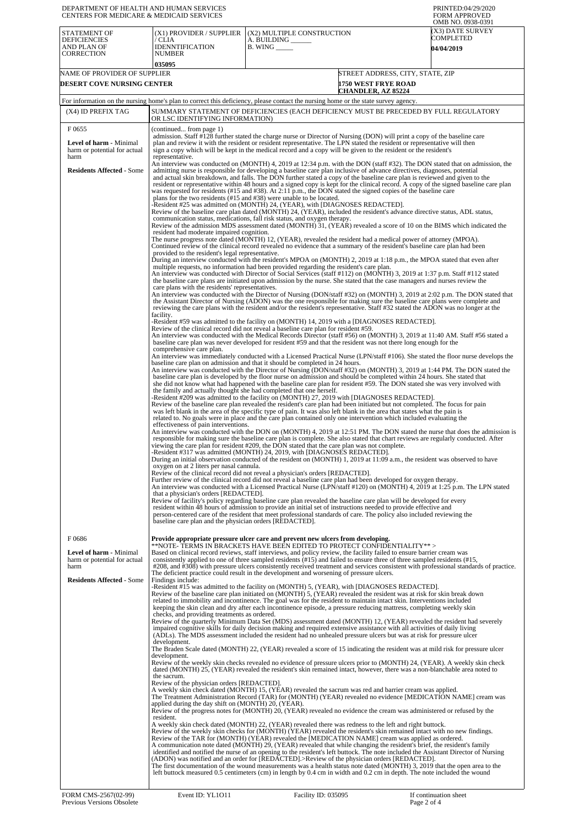| DEPARTMENT OF HEALTH AND HUMAN SERVICES<br><b>CENTERS FOR MEDICARE &amp; MEDICAID SERVICES</b>                      |                                                                                                                                                                                                                                                                                                                                                                                                      |                                                                                                                                                                                                                                                                                                                                                                                                                                                                                                                                                                                                                                                                                                                                                                                                                                                                                                                                                                                                                                                                                                                                                                                                                                                                                                                                                                                                                                                                                                                                                                                                                                                                                                                                                                                                                                                                                                                                                                                                                                                                                                                                                                                                                                                                                                                                                                                                                                                                                                                                                                                                                                                                                                                                                                                                                                                                                                                                                                                                                                                                                                                                                                                                                                                                                                                                                                                                                                                                                                                                                                                                                                                                                                                                                                                                                                                                                                                                                                                                                                                                                                                                                                                                                                                                                                                                                                                                                                                                                                                                                                                                                                                                                                                                                                                                                                                                                                                                                                                                                                                                                                                                                                             | PRINTED:04/29/2020<br><b>FORM APPROVED</b><br>OMB NO. 0938-0391 |
|---------------------------------------------------------------------------------------------------------------------|------------------------------------------------------------------------------------------------------------------------------------------------------------------------------------------------------------------------------------------------------------------------------------------------------------------------------------------------------------------------------------------------------|-----------------------------------------------------------------------------------------------------------------------------------------------------------------------------------------------------------------------------------------------------------------------------------------------------------------------------------------------------------------------------------------------------------------------------------------------------------------------------------------------------------------------------------------------------------------------------------------------------------------------------------------------------------------------------------------------------------------------------------------------------------------------------------------------------------------------------------------------------------------------------------------------------------------------------------------------------------------------------------------------------------------------------------------------------------------------------------------------------------------------------------------------------------------------------------------------------------------------------------------------------------------------------------------------------------------------------------------------------------------------------------------------------------------------------------------------------------------------------------------------------------------------------------------------------------------------------------------------------------------------------------------------------------------------------------------------------------------------------------------------------------------------------------------------------------------------------------------------------------------------------------------------------------------------------------------------------------------------------------------------------------------------------------------------------------------------------------------------------------------------------------------------------------------------------------------------------------------------------------------------------------------------------------------------------------------------------------------------------------------------------------------------------------------------------------------------------------------------------------------------------------------------------------------------------------------------------------------------------------------------------------------------------------------------------------------------------------------------------------------------------------------------------------------------------------------------------------------------------------------------------------------------------------------------------------------------------------------------------------------------------------------------------------------------------------------------------------------------------------------------------------------------------------------------------------------------------------------------------------------------------------------------------------------------------------------------------------------------------------------------------------------------------------------------------------------------------------------------------------------------------------------------------------------------------------------------------------------------------------------------------------------------------------------------------------------------------------------------------------------------------------------------------------------------------------------------------------------------------------------------------------------------------------------------------------------------------------------------------------------------------------------------------------------------------------------------------------------------------------------------------------------------------------------------------------------------------------------------------------------------------------------------------------------------------------------------------------------------------------------------------------------------------------------------------------------------------------------------------------------------------------------------------------------------------------------------------------------------------------------------------------------------------------------------------------------------------------------------------------------------------------------------------------------------------------------------------------------------------------------------------------------------------------------------------------------------------------------------------------------------------------------------------------------------------------------------------------------------------------------------------------------------------------------------------|-----------------------------------------------------------------|
| STATEMENT OF<br><b>DEFICIENCIES</b><br>AND PLAN OF<br><b>CORRECTION</b>                                             | (X1) PROVIDER / SUPPLIER<br>/ CLIA<br><b>IDENNTIFICATION</b><br><b>NUMBER</b><br>035095                                                                                                                                                                                                                                                                                                              | (X2) MULTIPLE CONSTRUCTION<br>A. BUILDING __<br>$B.$ WING $\_\_\_\_\_\_\$                                                                                                                                                                                                                                                                                                                                                                                                                                                                                                                                                                                                                                                                                                                                                                                                                                                                                                                                                                                                                                                                                                                                                                                                                                                                                                                                                                                                                                                                                                                                                                                                                                                                                                                                                                                                                                                                                                                                                                                                                                                                                                                                                                                                                                                                                                                                                                                                                                                                                                                                                                                                                                                                                                                                                                                                                                                                                                                                                                                                                                                                                                                                                                                                                                                                                                                                                                                                                                                                                                                                                                                                                                                                                                                                                                                                                                                                                                                                                                                                                                                                                                                                                                                                                                                                                                                                                                                                                                                                                                                                                                                                                                                                                                                                                                                                                                                                                                                                                                                                                                                                                                   | (X3) DATE SURVEY<br>COMPLETED<br><b>04/04/2019</b>              |
| NAME OF PROVIDER OF SUPPLIER<br>DESERT COVE NURSING CENTER                                                          |                                                                                                                                                                                                                                                                                                                                                                                                      | STREET ADDRESS, CITY, STATE, ZIP<br><b>1750 WEST FRYE ROAD</b>                                                                                                                                                                                                                                                                                                                                                                                                                                                                                                                                                                                                                                                                                                                                                                                                                                                                                                                                                                                                                                                                                                                                                                                                                                                                                                                                                                                                                                                                                                                                                                                                                                                                                                                                                                                                                                                                                                                                                                                                                                                                                                                                                                                                                                                                                                                                                                                                                                                                                                                                                                                                                                                                                                                                                                                                                                                                                                                                                                                                                                                                                                                                                                                                                                                                                                                                                                                                                                                                                                                                                                                                                                                                                                                                                                                                                                                                                                                                                                                                                                                                                                                                                                                                                                                                                                                                                                                                                                                                                                                                                                                                                                                                                                                                                                                                                                                                                                                                                                                                                                                                                                              |                                                                 |
|                                                                                                                     |                                                                                                                                                                                                                                                                                                                                                                                                      | <b>CHANDLER, AZ 85224</b><br>For information on the nursing home's plan to correct this deficiency, please contact the nursing home or the state survey agency.                                                                                                                                                                                                                                                                                                                                                                                                                                                                                                                                                                                                                                                                                                                                                                                                                                                                                                                                                                                                                                                                                                                                                                                                                                                                                                                                                                                                                                                                                                                                                                                                                                                                                                                                                                                                                                                                                                                                                                                                                                                                                                                                                                                                                                                                                                                                                                                                                                                                                                                                                                                                                                                                                                                                                                                                                                                                                                                                                                                                                                                                                                                                                                                                                                                                                                                                                                                                                                                                                                                                                                                                                                                                                                                                                                                                                                                                                                                                                                                                                                                                                                                                                                                                                                                                                                                                                                                                                                                                                                                                                                                                                                                                                                                                                                                                                                                                                                                                                                                                             |                                                                 |
| (X4) ID PREFIX TAG                                                                                                  | OR LSC IDENTIFYING INFORMATION)                                                                                                                                                                                                                                                                                                                                                                      | SUMMARY STATEMENT OF DEFICIENCIES (EACH DEFICIENCY MUST BE PRECEDED BY FULL REGULATORY                                                                                                                                                                                                                                                                                                                                                                                                                                                                                                                                                                                                                                                                                                                                                                                                                                                                                                                                                                                                                                                                                                                                                                                                                                                                                                                                                                                                                                                                                                                                                                                                                                                                                                                                                                                                                                                                                                                                                                                                                                                                                                                                                                                                                                                                                                                                                                                                                                                                                                                                                                                                                                                                                                                                                                                                                                                                                                                                                                                                                                                                                                                                                                                                                                                                                                                                                                                                                                                                                                                                                                                                                                                                                                                                                                                                                                                                                                                                                                                                                                                                                                                                                                                                                                                                                                                                                                                                                                                                                                                                                                                                                                                                                                                                                                                                                                                                                                                                                                                                                                                                                      |                                                                 |
| F 0655<br><b>Level of harm - Minimal</b><br>harm or potential for actual                                            | (continued from page 1)<br>admission. Staff #128 further stated the charge nurse or Director of Nursing (DON) will print a copy of the baseline care<br>plan and review it with the resident or resident representative. The LPN stated the resident or representative will then<br>sign a copy which will be kept in the medical record and a copy will be given to the resident or the resident's  |                                                                                                                                                                                                                                                                                                                                                                                                                                                                                                                                                                                                                                                                                                                                                                                                                                                                                                                                                                                                                                                                                                                                                                                                                                                                                                                                                                                                                                                                                                                                                                                                                                                                                                                                                                                                                                                                                                                                                                                                                                                                                                                                                                                                                                                                                                                                                                                                                                                                                                                                                                                                                                                                                                                                                                                                                                                                                                                                                                                                                                                                                                                                                                                                                                                                                                                                                                                                                                                                                                                                                                                                                                                                                                                                                                                                                                                                                                                                                                                                                                                                                                                                                                                                                                                                                                                                                                                                                                                                                                                                                                                                                                                                                                                                                                                                                                                                                                                                                                                                                                                                                                                                                                             |                                                                 |
| harm<br><b>Residents Affected - Some</b>                                                                            | representative.<br>resident had moderate impaired cognition.<br>provided to the resident's legal representative.<br>care plans with the residents' representatives.<br>facility.<br>comprehensive care plan.<br>effectiveness of pain interventions.<br>oxygen on at 2 liters per nasal cannula.<br>that a physician's orders [REDACTED].<br>baseline care plan and the physician orders [REDACTED]. | An interview was conducted on (MONTH) 4, 2019 at 12:34 p.m. with the DON (staff #32). The DON stated that on admission, the<br>admitting nurse is responsible for developing a baseline care plan inclusive of advance directives, diagnoses, potential<br>and actual skin breakdown, and falls. The DON further stated a copy of the baseline care plan is reviewed and given to the<br>resident or representative within 48 hours and a signed copy is kept for the clinical record. A copy of the signed baseline care plan<br>was requested for residents (#15 and #38). At 2:11 p.m., the DON stated the signed copies of the baseline care<br>plans for the two residents (#15 and #38) were unable to be located.<br>-Resident #25 was admitted on (MONTH) 24, (YEAR), with [DIAGNOSES REDACTED].<br>Review of the baseline care plan dated (MONTH) 24, (YEAR), included the resident's advance directive status, ADL status,<br>communication status, medications, fall risk status, and oxygen therapy.<br>Review of the admission MDS assessment dated (MONTH) 31, (YEAR) revealed a score of 10 on the BIMS which indicated the<br>The nurse progress note dated (MONTH) 12, (YEAR), revealed the resident had a medical power of attorney (MPOA).<br>Continued review of the clinical record revealed no evidence that a summary of the resident's baseline care plan had been<br>During an interview conducted with the resident's MPOA on (MONTH) 2, 2019 at 1:18 p.m., the MPOA stated that even after<br>multiple requests, no information had been provided regarding the resident's care plan.<br>An interview was conducted with Director of Social Services (staff #112) on (MONTH) 3, 2019 at 1:37 p.m. Staff #112 stated<br>the baseline care plans are initiated upon admission by the nurse. She stated that the case managers and nurses review the<br>An interview was conducted with the Director of Nursing (DON/staff #32) on (MONTH) 3, 2019 at 2:02 p.m. The DON stated that<br>the Assistant Director of Nursing (ADON) was the one responsible for making sure the baseline care plans were complete and<br>reviewing the care plans with the resident and/or the resident's representative. Staff #32 stated the ADON was no longer at the<br>-Resident #59 was admitted to the facility on (MONTH) 14, 2019 with a [DIAGNOSES REDACTED].<br>Review of the clinical record did not reveal a baseline care plan for resident #59.<br>An interview was conducted with the Medical Records Director (staff #56) on (MONTH) 3, 2019 at 11:40 AM. Staff #56 stated a<br>baseline care plan was never developed for resident #59 and that the resident was not there long enough for the<br>An interview was immediately conducted with a Licensed Practical Nurse (LPN/staff #106). She stated the floor nurse develops the<br>baseline care plan on admission and that it should be completed in 24 hours.<br>An interview was conducted with the Director of Nursing (DON/staff #32) on (MONTH) 3, 2019 at 1:44 PM. The DON stated the<br>baseline care plan is developed by the floor nurse on admission and should be completed within 24 hours. She stated that<br>she did not know what had happened with the baseline care plan for resident #59. The DON stated she was very involved with<br>the family and actually thought she had completed that one herself.<br>-Resident #209 was admitted to the facility on (MONTH) 27, 2019 with [DIAGNOSES REDACTED].<br>Review of the baseline care plan revealed the resident's care plan had been initiated but not completed. The focus for pain<br>was left blank in the area of the specific type of pain. It was also left blank in the area that states what the pain is<br>related to. No goals were in place and the care plan contained only one intervention which included evaluating the<br>An interview was conducted with the DON on (MONTH) 4, 2019 at 12:51 PM. The DON stated the nurse that does the admission is<br>responsible for making sure the baseline care plan is complete. She also stated that chart reviews are regularly conducted. After<br>viewing the care plan for resident #209, the DON stated that the care plan was not complete.<br>-Resident #317 was admitted (MONTH) 24, 2019, with [DIAGNOSES REDACTED].<br>During an initial observation conducted of the resident on (MONTH) 1, 2019 at 11:09 a.m., the resident was observed to have<br>Review of the clinical record did not reveal a physician's orders [REDACTED].<br>Further review of the clinical record did not reveal a baseline care plan had been developed for oxygen therapy.<br>An interview was conducted with a Licensed Practical Nurse (LPN/staff #120) on (MONTH) 4, 2019 at 1:25 p.m. The LPN stated<br>Review of facility's policy regarding baseline care plan revealed the baseline care plan will be developed for every<br>resident within 48 hours of admission to provide an initial set of instructions needed to provide effective and<br>person-centered care of the resident that meet professional standards of care. The policy also included reviewing the |                                                                 |
| F0686<br><b>Level of harm - Minimal</b><br>harm or potential for actual<br>harm<br><b>Residents Affected - Some</b> | Findings include:<br>checks, and providing treatments as ordered.<br>development.<br>development.<br>the sacrum.<br>Review of the physician orders [REDACTED].<br>applied during the day shift on (MONTH) 20, (YEAR).<br>resident.                                                                                                                                                                   | Provide appropriate pressure ulcer care and prevent new ulcers from developing.<br>$\ast\ast$ NOTE- TERMS IN BRACKETS HAVE BEEN EDITED TO PROTECT CONFIDENTIALITY $\ast\ast$ ><br>Based on clinical record reviews, staff interviews, and policy review, the facility failed to ensure barrier cream was<br>consistently applied to one of three sampled residents (#15) and failed to ensure three of three sampled residents (#15,<br>#208, and #308) with pressure ulcers consistently received treatment and services consistent with professional standards of practice.<br>The deficient practice could result in the development and worsening of pressure ulcers.<br>-Resident #15 was admitted to the facility on (MONTH) 5, (YEAR), with [DIAGNOSES REDACTED].<br>Review of the baseline care plan initiated on (MONTH) 5, (YEAR) revealed the resident was at risk for skin break down<br>related to immobility and incontinence. The goal was for the resident to maintain intact skin. Interventions included<br>keeping the skin clean and dry after each incontinence episode, a pressure reducing mattress, completing weekly skin<br>Review of the quarterly Minimum Data Set (MDS) assessment dated (MONTH) 12, (YEAR) revealed the resident had severely<br>impaired cognitive skills for daily decision making and required extensive assistance with all activities of daily living<br>(ADLs). The MDS assessment included the resident had no unhealed pressure ulcers but was at risk for pressure ulcer<br>The Braden Scale dated (MONTH) 22, (YEAR) revealed a score of 15 indicating the resident was at mild risk for pressure ulcer<br>Review of the weekly skin checks revealed no evidence of pressure ulcers prior to (MONTH) 24, (YEAR). A weekly skin check<br>dated (MONTH) 25, (YEAR) revealed the resident's skin remained intact, however, there was a non-blanchable area noted to<br>A weekly skin check dated (MONTH) 15, (YEAR) revealed the sacrum was red and barrier cream was applied.<br>The Treatment Administration Record (TAR) for (MONTH) (YEAR) revealed no evidence [MEDICATION NAME] cream was<br>Review of the progress notes for (MONTH) 20, (YEAR) revealed no evidence the cream was administered or refused by the<br>A weekly skin check dated (MONTH) 22, (YEAR) revealed there was redness to the left and right buttock.<br>Review of the weekly skin checks for (MONTH) (YEAR) revealed the resident's skin remained intact with no new findings.<br>Review of the TAR for (MONTH) (YEAR) revealed the [MEDICATION NAME] cream was applied as ordered.<br>A communication note dated (MONTH) 29, (YEAR) revealed that while changing the resident's brief, the resident's family<br>identified and notified the nurse of an opening to the resident's left buttock. The note included the Assistant Director of Nursing<br>(ADON) was notified and an order for [REDACTED].>Review of the physician orders [REDACTED].<br>The first documentation of the wound measurements was a health status note dated (MONTH) 3, 2019 that the open area to the<br>left buttock measured 0.5 centimeters (cm) in length by 0.4 cm in width and 0.2 cm in depth. The note included the wound                                                                                                                                                                                                                                                                                                                                                                                                                                                                                                                                                                                                                                                                                                                                                                                                                                                                                                                                                                                                                                                                                                                                                                                                                                                                                                                                                                                                                                                                                                                                                                                                                                                                                                                                                                                                                                                                                                                            |                                                                 |
| FORM CMS-2567(02-99)                                                                                                | Event ID: YL1011                                                                                                                                                                                                                                                                                                                                                                                     | Facility ID: 035095                                                                                                                                                                                                                                                                                                                                                                                                                                                                                                                                                                                                                                                                                                                                                                                                                                                                                                                                                                                                                                                                                                                                                                                                                                                                                                                                                                                                                                                                                                                                                                                                                                                                                                                                                                                                                                                                                                                                                                                                                                                                                                                                                                                                                                                                                                                                                                                                                                                                                                                                                                                                                                                                                                                                                                                                                                                                                                                                                                                                                                                                                                                                                                                                                                                                                                                                                                                                                                                                                                                                                                                                                                                                                                                                                                                                                                                                                                                                                                                                                                                                                                                                                                                                                                                                                                                                                                                                                                                                                                                                                                                                                                                                                                                                                                                                                                                                                                                                                                                                                                                                                                                                                         | If continuation sheet                                           |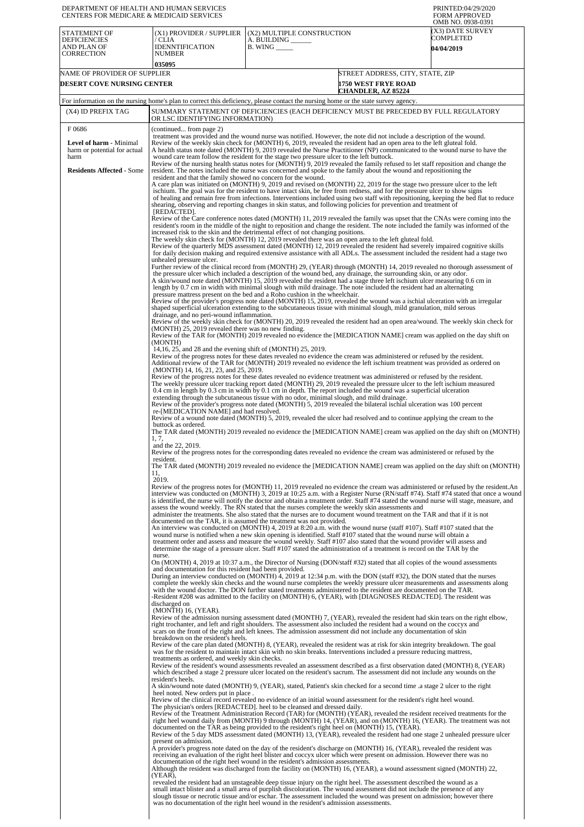|                                                                         | DEPARTMENT OF HEALTH AND HUMAN SERVICES<br>CENTERS FOR MEDICARE & MEDICAID SERVICES                                                                                                                                                                                                                                                                                                                                                                                                                                                                                                                                                                                                                                                                                                                                                             |                                                                                                                                                                                                                                                                                                                                                                                                                                                       | PRINTED:04/29/2020<br><b>FORM APPROVED</b><br>OMB NO. 0938-0391                                                                                                                                                                                                                                                                                                                    |  |
|-------------------------------------------------------------------------|-------------------------------------------------------------------------------------------------------------------------------------------------------------------------------------------------------------------------------------------------------------------------------------------------------------------------------------------------------------------------------------------------------------------------------------------------------------------------------------------------------------------------------------------------------------------------------------------------------------------------------------------------------------------------------------------------------------------------------------------------------------------------------------------------------------------------------------------------|-------------------------------------------------------------------------------------------------------------------------------------------------------------------------------------------------------------------------------------------------------------------------------------------------------------------------------------------------------------------------------------------------------------------------------------------------------|------------------------------------------------------------------------------------------------------------------------------------------------------------------------------------------------------------------------------------------------------------------------------------------------------------------------------------------------------------------------------------|--|
| <b>STATEMENT OF</b><br><b>DEFICIENCIES</b><br>AND PLAN OF<br>CORRECTION | (X1) PROVIDER / SUPPLIER<br>/ CLIA<br><b>IDENNTIFICATION</b><br><b>NUMBER</b>                                                                                                                                                                                                                                                                                                                                                                                                                                                                                                                                                                                                                                                                                                                                                                   | (X2) MULTIPLE CONSTRUCTION<br>A. BUILDING<br>$B.$ WING $\_\_\_\_\_\_\_\$                                                                                                                                                                                                                                                                                                                                                                              | (X3) DATE SURVEY<br>COMPLETED<br><b>04/04/2019</b>                                                                                                                                                                                                                                                                                                                                 |  |
| NAME OF PROVIDER OF SUPPLIER                                            | 035095                                                                                                                                                                                                                                                                                                                                                                                                                                                                                                                                                                                                                                                                                                                                                                                                                                          |                                                                                                                                                                                                                                                                                                                                                                                                                                                       | STREET ADDRESS, CITY, STATE, ZIP                                                                                                                                                                                                                                                                                                                                                   |  |
| DESERT COVE NURSING CENTER                                              |                                                                                                                                                                                                                                                                                                                                                                                                                                                                                                                                                                                                                                                                                                                                                                                                                                                 |                                                                                                                                                                                                                                                                                                                                                                                                                                                       | <b>1750 WEST FRYE ROAD</b>                                                                                                                                                                                                                                                                                                                                                         |  |
|                                                                         |                                                                                                                                                                                                                                                                                                                                                                                                                                                                                                                                                                                                                                                                                                                                                                                                                                                 | For information on the nursing home's plan to correct this deficiency, please contact the nursing home or the state survey agency.                                                                                                                                                                                                                                                                                                                    | <b>CHANDLER, AZ 85224</b>                                                                                                                                                                                                                                                                                                                                                          |  |
| (X4) ID PREFIX TAG                                                      | OR LSC IDENTIFYING INFORMATION)                                                                                                                                                                                                                                                                                                                                                                                                                                                                                                                                                                                                                                                                                                                                                                                                                 |                                                                                                                                                                                                                                                                                                                                                                                                                                                       | SUMMARY STATEMENT OF DEFICIENCIES (EACH DEFICIENCY MUST BE PRECEDED BY FULL REGULATORY                                                                                                                                                                                                                                                                                             |  |
| F0686                                                                   | (continued from page 2)<br>treatment was provided and the wound nurse was notified. However, the note did not include a description of the wound.                                                                                                                                                                                                                                                                                                                                                                                                                                                                                                                                                                                                                                                                                               |                                                                                                                                                                                                                                                                                                                                                                                                                                                       |                                                                                                                                                                                                                                                                                                                                                                                    |  |
| Level of harm - Minimal<br>harm or potential for actual<br>harm         |                                                                                                                                                                                                                                                                                                                                                                                                                                                                                                                                                                                                                                                                                                                                                                                                                                                 | Review of the weekly skin check for (MONTH) 6, 2019, revealed the resident had an open area to the left gluteal fold.<br>wound care team follow the resident for the stage two pressure ulcer to the left buttock.                                                                                                                                                                                                                                    | A health status note dated (MONTH) 9, 2019 revealed the Nurse Practitioner (NP) communicated to the wound nurse to have the                                                                                                                                                                                                                                                        |  |
| <b>Residents Affected - Some</b>                                        | Review of the nursing health status notes for (MONTH) 9, 2019 revealed the family refused to let staff reposition and change the<br>resident. The notes included the nurse was concerned and spoke to the family about the wound and repositioning the<br>resident and that the family showed no concern for the wound.<br>A care plan was initiated on (MONTH) 9, 2019 and revised on (MONTH) 22, 2019 for the stage two pressure ulcer to the left<br>ischium. The goal was for the resident to have intact skin, be free from redness, and for the pressure ulcer to show signs<br>of healing and remain free from infections. Interventions included using two staff with repositioning, keeping the bed flat to reduce<br>shearing, observing and reporting changes in skin status, and following policies for prevention and treatment of |                                                                                                                                                                                                                                                                                                                                                                                                                                                       |                                                                                                                                                                                                                                                                                                                                                                                    |  |
|                                                                         | [REDACTED].                                                                                                                                                                                                                                                                                                                                                                                                                                                                                                                                                                                                                                                                                                                                                                                                                                     | increased risk to the skin and the detrimental effect of not changing positions.<br>The weekly skin check for (MONTH) 12, 2019 revealed there was an open area to the left gluteal fold.                                                                                                                                                                                                                                                              | Review of the Care conference notes dated (MONTH) 11, 2019 revealed the family was upset that the CNAs were coming into the<br>resident's room in the middle of the night to reposition and change the resident. The note included the family was informed of the                                                                                                                  |  |
|                                                                         | Review of the quarterly MDS assessment dated (MONTH) 12, 2019 revealed the resident had severely impaired cognitive skills<br>for daily decision making and required extensive assistance with all ADLs. The assessment included the resident had a stage two<br>unhealed pressure ulcer.<br>Further review of the clinical record from (MONTH) 29, (YEAR) through (MONTH) 14, 2019 revealed no thorough assessment of<br>the pressure ulcer which included a description of the wound bed, any drainage, the surrounding skin, or any odor.                                                                                                                                                                                                                                                                                                    |                                                                                                                                                                                                                                                                                                                                                                                                                                                       |                                                                                                                                                                                                                                                                                                                                                                                    |  |
|                                                                         |                                                                                                                                                                                                                                                                                                                                                                                                                                                                                                                                                                                                                                                                                                                                                                                                                                                 | length by 0.7 cm in width with minimal slough with mild drainage. The note included the resident had an alternating<br>pressure mattress present on the bed and a Roho cushion in the wheelchair.                                                                                                                                                                                                                                                     | A skin/wound note dated (MONTH) 15, 2019 revealed the resident had a stage three left ischium ulcer measuring 0.6 cm in<br>Review of the provider's progress note dated (MONTH) 15, 2019, revealed the wound was a ischial ulceration with an irregular                                                                                                                            |  |
|                                                                         | drainage, and no peri-wound inflammation.<br>(MONTH) 25, 2019 revealed there was no new finding.                                                                                                                                                                                                                                                                                                                                                                                                                                                                                                                                                                                                                                                                                                                                                | shaped superficial ulceration extending to the subcutaneous tissue with minimal slough, mild granulation, mild serous                                                                                                                                                                                                                                                                                                                                 | Review of the weekly skin check for (MONTH) 20, 2019 revealed the resident had an open area/wound. The weekly skin check for                                                                                                                                                                                                                                                       |  |
|                                                                         | (MONTH)<br>$14,16, 25,$ and 28 and the evening shift of (MONTH) 25, 2019.                                                                                                                                                                                                                                                                                                                                                                                                                                                                                                                                                                                                                                                                                                                                                                       | Review of the progress notes for these dates revealed no evidence the cream was administered or refused by the resident.                                                                                                                                                                                                                                                                                                                              | Review of the TAR for (MONTH) 2019 revealed no evidence the [MEDICATION NAME] cream was applied on the day shift on                                                                                                                                                                                                                                                                |  |
|                                                                         | Additional review of the TAR for (MONTH) 2019 revealed no evidence the left ischium treatment was provided as ordered on<br>(MONTH) 14, 16, 21, 23, and 25, 2019.<br>Review of the progress notes for these dates revealed no evidence treatment was administered or refused by the resident.<br>The weekly pressure ulcer tracking report dated (MONTH) 29, 2019 revealed the pressure ulcer to the left ischium measured                                                                                                                                                                                                                                                                                                                                                                                                                      |                                                                                                                                                                                                                                                                                                                                                                                                                                                       |                                                                                                                                                                                                                                                                                                                                                                                    |  |
|                                                                         | 0.4 cm in length by 0.3 cm in width by 0.1 cm in depth. The report included the wound was a superficial ulceration<br>extending through the subcutaneous tissue with no odor, minimal slough, and mild drainage.<br>Review of the provider's progress note dated (MONTH) 5, 2019 revealed the bilateral ischial ulceration was 100 percent<br>re-[MEDICATION NAME] and had resolved.                                                                                                                                                                                                                                                                                                                                                                                                                                                            |                                                                                                                                                                                                                                                                                                                                                                                                                                                       |                                                                                                                                                                                                                                                                                                                                                                                    |  |
|                                                                         | buttock as ordered.<br>1, 7,                                                                                                                                                                                                                                                                                                                                                                                                                                                                                                                                                                                                                                                                                                                                                                                                                    |                                                                                                                                                                                                                                                                                                                                                                                                                                                       | Review of a wound note dated (MONTH) 5, 2019, revealed the ulcer had resolved and to continue applying the cream to the<br>The TAR dated (MONTH) 2019 revealed no evidence the [MEDICATION NAME] cream was applied on the day shift on (MONTH)                                                                                                                                     |  |
|                                                                         | and the 22, 2019.<br>resident.                                                                                                                                                                                                                                                                                                                                                                                                                                                                                                                                                                                                                                                                                                                                                                                                                  |                                                                                                                                                                                                                                                                                                                                                                                                                                                       | Review of the progress notes for the corresponding dates revealed no evidence the cream was administered or refused by the<br>The TAR dated (MONTH) 2019 revealed no evidence the [MEDICATION NAME] cream was applied on the day shift on (MONTH)                                                                                                                                  |  |
|                                                                         | 11,<br>2019.<br>Review of the progress notes for (MONTH) 11, 2019 revealed no evidence the cream was administered or refused by the resident. An<br>interview was conducted on (MONTH) 3, 2019 at 10:25 a.m. with a Register Nurse (RN/staff #74). Staff #74 stated that once a wound<br>is identified, the nurse will notify the doctor and obtain a treatment order. Staff #74 stated the wound nurse will stage, measure, and<br>assess the wound weekly. The RN stated that the nurses complete the weekly skin assessments and                                                                                                                                                                                                                                                                                                             |                                                                                                                                                                                                                                                                                                                                                                                                                                                       |                                                                                                                                                                                                                                                                                                                                                                                    |  |
|                                                                         |                                                                                                                                                                                                                                                                                                                                                                                                                                                                                                                                                                                                                                                                                                                                                                                                                                                 | administer the treatments. She also stated that the nurses are to document wound treatment on the TAR and that if it is not<br>documented on the TAR, it is assumed the treatment was not provided.<br>wound nurse is notified when a new skin opening is identified. Staff #107 stated that the wound nurse will obtain a<br>treatment order and assess and measure the wound weekly. Staff #107 also stated that the wound provider will assess and | An interview was conducted on (MONTH) 4, 2019 at 8:20 a.m. with the wound nurse (staff #107). Staff #107 stated that the                                                                                                                                                                                                                                                           |  |
|                                                                         | nurse.                                                                                                                                                                                                                                                                                                                                                                                                                                                                                                                                                                                                                                                                                                                                                                                                                                          | determine the stage of a pressure ulcer. Staff #107 stated the administration of a treatment is record on the TAR by the                                                                                                                                                                                                                                                                                                                              |                                                                                                                                                                                                                                                                                                                                                                                    |  |
|                                                                         | and documentation for this resident had been provided.                                                                                                                                                                                                                                                                                                                                                                                                                                                                                                                                                                                                                                                                                                                                                                                          | with the wound doctor. The DON further stated treatments administered to the resident are documented on the TAR.<br>-Resident #208 was admitted to the facility on (MONTH) 6, (YEAR), with [DIAGNOSES REDACTED]. The resident was                                                                                                                                                                                                                     | On (MONTH) 4, 2019 at 10:37 a.m., the Director of Nursing (DON/staff #32) stated that all copies of the wound assessments<br>During an interview conducted on (MONTH) 4, 2019 at 12:34 p.m. with the DON (staff #32), the DON stated that the nurses<br>complete the weekly skin checks and the wound nurse completes the weekly pressure ulcer measurements and assessments along |  |
|                                                                         | discharged on<br>(MONTH) 16, (YEAR).                                                                                                                                                                                                                                                                                                                                                                                                                                                                                                                                                                                                                                                                                                                                                                                                            | right trochanter, and left and right shoulders. The assessment also included the resident had a wound on the coccyx and<br>scars on the front of the right and left knees. The admission assessment did not include any documentation of skin                                                                                                                                                                                                         | Review of the admission nursing assessment dated (MONTH) 7, (YEAR), revealed the resident had skin tears on the right elbow,                                                                                                                                                                                                                                                       |  |
|                                                                         | breakdown on the resident's heels.<br>treatments as ordered, and weekly skin checks.                                                                                                                                                                                                                                                                                                                                                                                                                                                                                                                                                                                                                                                                                                                                                            | was for the resident to maintain intact skin with no skin breaks. Interventions included a pressure reducing mattress,                                                                                                                                                                                                                                                                                                                                | Review of the care plan dated (MONTH) 8, (YEAR), revealed the resident was at risk for skin integrity breakdown. The goal                                                                                                                                                                                                                                                          |  |
|                                                                         | resident's heels.<br>heel noted. New orders put in place.                                                                                                                                                                                                                                                                                                                                                                                                                                                                                                                                                                                                                                                                                                                                                                                       | A skin/wound note dated (MONTH) 9, (YEAR), stated, Patient's skin checked for a second time .a stage 2 ulcer to the right                                                                                                                                                                                                                                                                                                                             | Review of the resident's wound assessments revealed an assessment described as a first observation dated (MONTH) 8, (YEAR)<br>which described a stage 2 pressure ulcer located on the resident's sacrum. The assessment did not include any wounds on the                                                                                                                          |  |
|                                                                         |                                                                                                                                                                                                                                                                                                                                                                                                                                                                                                                                                                                                                                                                                                                                                                                                                                                 | Review of the clinical record revealed no evidence of an initial wound assessment for the resident's right heel wound.<br>The physician's orders [REDACTED], heel to be cleansed and dressed daily.<br>documented on the TAR as being provided to the resident's right heel on (MONTH) 15, (YEAR).                                                                                                                                                    | Review of the Treatment Administration Record (TAR) for (MONTH) (YEAR), revealed the resident received treatments for the<br>right heel wound daily from (MONTH) 9 through (MONTH) 14, (YEAR), and on (MONTH) 16, (YEAR). The treatment was not<br>Review of the 5 day MDS assessment dated (MONTH) 13, (YEAR), revealed the resident had one stage 2 unhealed pressure ulcer      |  |
|                                                                         | present on admission.                                                                                                                                                                                                                                                                                                                                                                                                                                                                                                                                                                                                                                                                                                                                                                                                                           | receiving an evaluation of the right heel blister and coccyx ulcer which were present on admission. However there was no<br>documentation of the right heel wound in the resident's admission assessments.                                                                                                                                                                                                                                            | A provider's progress note dated on the day of the resident's discharge on (MONTH) 16, (YEAR), revealed the resident was<br>Although the resident was discharged from the facility on (MONTH) 16, (YEAR), a wound assessment signed (MONTH) 22,                                                                                                                                    |  |
|                                                                         | (YEAR),                                                                                                                                                                                                                                                                                                                                                                                                                                                                                                                                                                                                                                                                                                                                                                                                                                         | revealed the resident had an unstageable deep tissue injury on the right heel. The assessment described the wound as a<br>small intact blister and a small area of purplish discoloration. The wound assessment did not include the presence of any<br>was no documentation of the right heel wound in the resident's admission assessments.                                                                                                          | slough tissue or necrotic tissue and/or eschar. The assessment included the wound was present on admission: however there                                                                                                                                                                                                                                                          |  |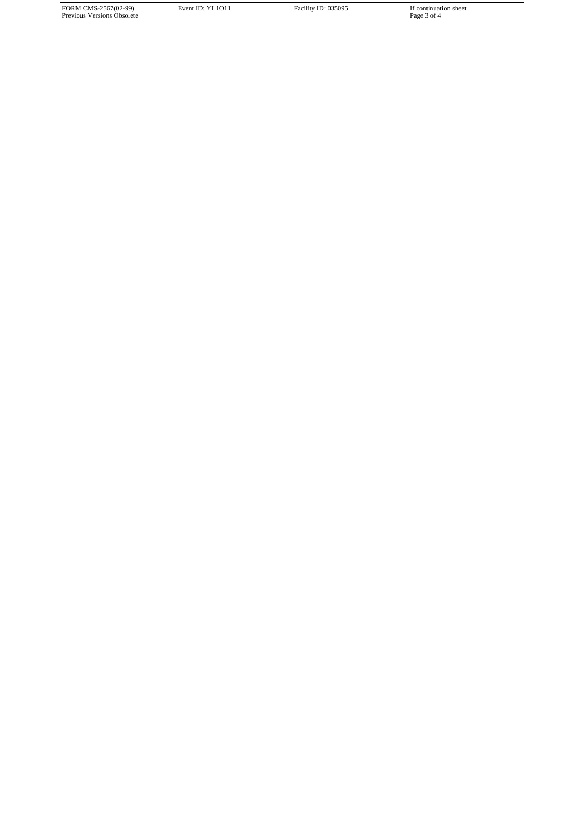FORM CMS-2567(02-99) Previous Versions Obsolete

Event ID: YL1O11 Facility ID: 035095 If continuation sheet<br>Page 3 of 4